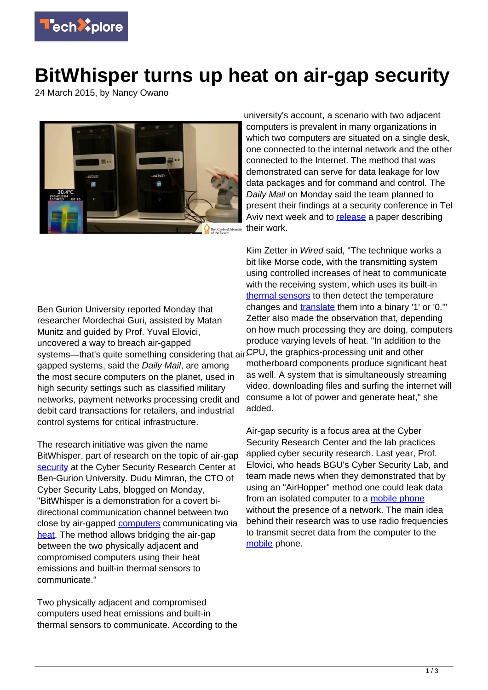

## **BitWhisper turns up heat on air-gap security**

24 March 2015, by Nancy Owano



university's account, a scenario with two adjacent computers is prevalent in many organizations in which two computers are situated on a single desk, one connected to the internal network and the other connected to the Internet. The method that was demonstrated can serve for data leakage for low data packages and for command and control. The Daily Mail on Monday said the team planned to present their findings at a security conference in Tel Aviv next week and to [release](http://www.dailymail.co.uk/sciencetech/article-3008316/The-world-s-secure-computers-hacked-HEAT-Researchers-reveal-new-technique-intercept-military-networks-credit-card-databases-power-plants.html) a paper describing their work.

Ben Gurion University reported Monday that researcher Mordechai Guri, assisted by Matan Munitz and guided by Prof. Yuval Elovici, uncovered a way to breach air-gapped systems—that's quite something considering that air ${\mathcal{L}}$ PU, the graphics-processing unit and other gapped systems, said the Daily Mail, are among the most secure computers on the planet, used in high security settings such as classified military networks, payment networks processing credit and debit card transactions for retailers, and industrial control systems for critical infrastructure.

The research initiative was given the name BitWhisper, part of research on the topic of air-gap [security](https://techxplore.com/tags/security/) at the Cyber Security Research Center at Ben-Gurion University. Dudu Mimran, the CTO of Cyber Security Labs, blogged on Monday, "BitWhisper is a demonstration for a covert bidirectional communication channel between two close by air-gapped [computers](http://www.dudumimran.com/) communicating via [heat.](https://techxplore.com/tags/heat/) The method allows bridging the air-gap between the two physically adjacent and compromised computers using their heat emissions and built-in thermal sensors to communicate."

Two physically adjacent and compromised computers used heat emissions and built-in thermal sensors to communicate. According to the

Kim Zetter in Wired said, "The technique works a bit like Morse code, with the transmitting system using controlled increases of heat to communicate with the receiving system, which uses its built-in [thermal sensors](https://techxplore.com/tags/thermal+sensors/) to then detect the temperature changes and [translate](http://www.wired.com/2015/03/stealing-data-computers-using-heat/) them into a binary '1' or '0.'" Zetter also made the observation that, depending on how much processing they are doing, computers produce varying levels of heat. "In addition to the motherboard components produce significant heat as well. A system that is simultaneously streaming video, downloading files and surfing the internet will consume a lot of power and generate heat," she added.

Air-gap security is a focus area at the Cyber Security Research Center and the lab practices applied cyber security research. Last year, Prof. Elovici, who heads BGU's Cyber Security Lab, and team made news when they demonstrated that by using an "AirHopper" method one could leak data from an isolated computer to a [mobile phone](https://techxplore.com/tags/mobile+phone/) without the presence of a network. The main idea behind their research was to use radio frequencies to transmit secret data from the computer to the [mobile](http://cyber.bgu.ac.il/content/how-leak-sensitive-data-isolated-computer-air-gap-near-mobile-phone-airhopper#sthash.qfppJXSt.dpuf) phone.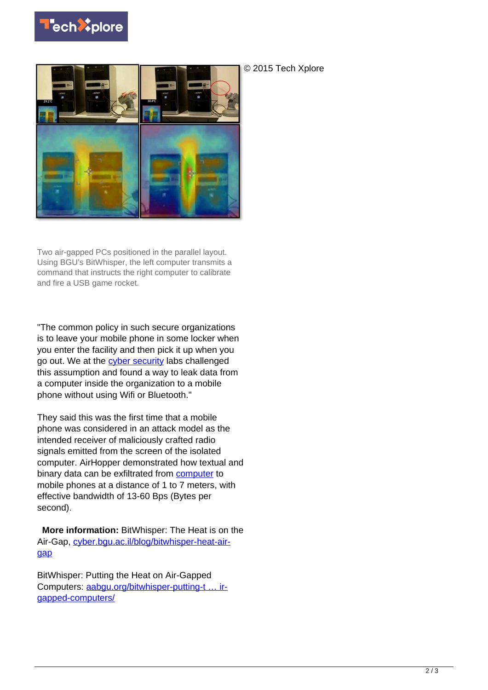



Two air-gapped PCs positioned in the parallel layout. Using BGU's BitWhisper, the left computer transmits a command that instructs the right computer to calibrate and fire a USB game rocket.

"The common policy in such secure organizations is to leave your mobile phone in some locker when you enter the facility and then pick it up when you go out. We at the [cyber security](https://techxplore.com/tags/cyber+security/) labs challenged this assumption and found a way to leak data from a computer inside the organization to a mobile phone without using Wifi or Bluetooth."

They said this was the first time that a mobile phone was considered in an attack model as the intended receiver of maliciously crafted radio signals emitted from the screen of the isolated computer. AirHopper demonstrated how textual and binary data can be exfiltrated from [computer](https://techxplore.com/tags/computer/) to mobile phones at a distance of 1 to 7 meters, with effective bandwidth of 13-60 Bps (Bytes per second).

 **More information:** BitWhisper: The Heat is on the Air-Gap, [cyber.bgu.ac.il/blog/bitwhisper-heat-air](http://cyber.bgu.ac.il/blog/bitwhisper-heat-air-gap)[gap](http://cyber.bgu.ac.il/blog/bitwhisper-heat-air-gap)

BitWhisper: Putting the Heat on Air-Gapped Computers: [aabgu.org/bitwhisper-putting-t … ir](http://aabgu.org/bitwhisper-putting-the-heat-on-air-gapped-computers/)[gapped-computers/](http://aabgu.org/bitwhisper-putting-the-heat-on-air-gapped-computers/)

© 2015 Tech Xplore